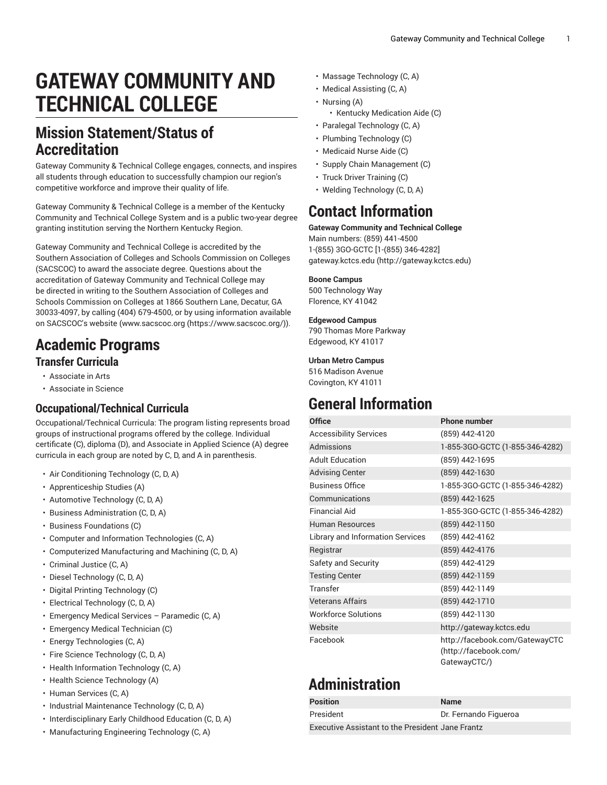# **GATEWAY COMMUNITY AND TECHNICAL COLLEGE**

### **Mission Statement/Status of Accreditation**

Gateway Community & Technical College engages, connects, and inspires all students through education to successfully champion our region's competitive workforce and improve their quality of life.

Gateway Community & Technical College is a member of the Kentucky Community and Technical College System and is a public two-year degree granting institution serving the Northern Kentucky Region.

Gateway Community and Technical College is accredited by the Southern Association of Colleges and Schools Commission on Colleges (SACSCOC) to award the associate degree. Questions about the accreditation of Gateway Community and Technical College may be directed in writing to the Southern Association of Colleges and Schools Commission on Colleges at 1866 Southern Lane, Decatur, GA 30033-4097, by calling (404) 679-4500, or by using information available on SACSCOC's website [\(www.sacscoc.org \(https://www.sacscoc.org/\)](https://www.sacscoc.org/)).

### **Academic Programs**

#### **Transfer Curricula**

- Associate in Arts
- Associate in Science

### **Occupational/Technical Curricula**

Occupational/Technical Curricula: The program listing represents broad groups of instructional programs offered by the college. Individual certificate (C), diploma (D), and Associate in Applied Science (A) degree curricula in each group are noted by C, D, and A in parenthesis.

- Air Conditioning Technology (C, D, A)
- Apprenticeship Studies (A)
- Automotive Technology (C, D, A)
- Business Administration (C, D, A)
- Business Foundations (C)
- Computer and Information Technologies (C, A)
- Computerized Manufacturing and Machining (C, D, A)
- Criminal Justice (C, A)
- Diesel Technology (C, D, A)
- Digital Printing Technology (C)
- Electrical Technology (C, D, A)
- Emergency Medical Services Paramedic (C, A)
- Emergency Medical Technician (C)
- Energy Technologies (C, A)
- Fire Science Technology (C, D, A)
- Health Information Technology (C, A)
- Health Science Technology (A)
- Human Services (C, A)
- Industrial Maintenance Technology (C, D, A)
- Interdisciplinary Early Childhood Education (C, D, A)
- Manufacturing Engineering Technology (C, A)
- Massage Technology (C, A)
- Medical Assisting (C, A)
- Nursing (A)
	- Kentucky Medication Aide (C)
- Paralegal Technology (C, A)
- Plumbing Technology (C)
- Medicaid Nurse Aide (C)
- Supply Chain Management (C)
- Truck Driver Training (C)
- Welding Technology (C, D, A)

### **Contact Information**

#### **Gateway Community and Technical College**

Main numbers: (859) 441-4500 1-(855) 3GO-GCTC [1-(855) 346-4282] [gateway.kctcs.edu](http://gateway.kctcs.edu) ([http://gateway.kctcs.edu\)](http://gateway.kctcs.edu)

#### **Boone Campus**

500 Technology Way Florence, KY 41042

#### **Edgewood Campus**

790 Thomas More Parkway Edgewood, KY 41017

#### **Urban Metro Campus**

516 Madison Avenue Covington, KY 41011

### **General Information**

| <b>Office</b>                    | <b>Phone number</b>                                                     |
|----------------------------------|-------------------------------------------------------------------------|
| <b>Accessibility Services</b>    | (859) 442-4120                                                          |
| <b>Admissions</b>                | 1-855-3GO-GCTC (1-855-346-4282)                                         |
| <b>Adult Education</b>           | (859) 442-1695                                                          |
| <b>Advising Center</b>           | (859) 442-1630                                                          |
| <b>Business Office</b>           | 1-855-3GO-GCTC (1-855-346-4282)                                         |
| Communications                   | (859) 442-1625                                                          |
| <b>Financial Aid</b>             | 1-855-3GO-GCTC (1-855-346-4282)                                         |
| <b>Human Resources</b>           | (859) 442-1150                                                          |
| Library and Information Services | (859) 442-4162                                                          |
| Registrar                        | (859) 442-4176                                                          |
| Safety and Security              | (859) 442-4129                                                          |
| <b>Testing Center</b>            | (859) 442-1159                                                          |
| Transfer                         | (859) 442-1149                                                          |
| <b>Veterans Affairs</b>          | (859) 442-1710                                                          |
| <b>Workforce Solutions</b>       | (859) 442-1130                                                          |
| Website                          | http://gateway.kctcs.edu                                                |
| Facebook                         | http://facebook.com/GatewayCTC<br>(http://facebook.com/<br>GatewayCTC/) |

## **Administration**

| <b>Position</b>                                         | <b>Name</b>           |  |
|---------------------------------------------------------|-----------------------|--|
| President                                               | Dr. Fernando Figueroa |  |
| <b>Executive Assistant to the President Jane Frantz</b> |                       |  |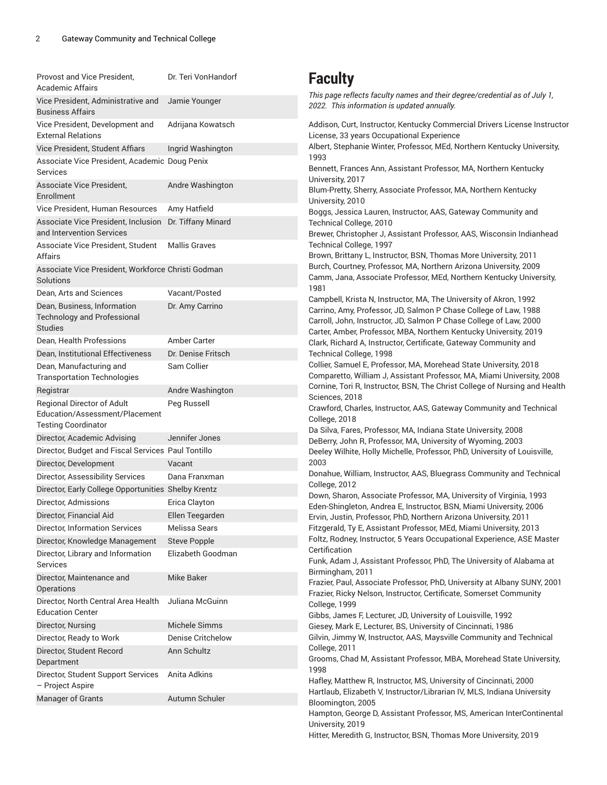| Provost and Vice President,<br>Academic Affairs                                                   | Dr. Teri VonHandorf      | <b>Faculty</b>                                                                                                                                                                                                                                                                                                                                                                                                                                                                                                                                                   |
|---------------------------------------------------------------------------------------------------|--------------------------|------------------------------------------------------------------------------------------------------------------------------------------------------------------------------------------------------------------------------------------------------------------------------------------------------------------------------------------------------------------------------------------------------------------------------------------------------------------------------------------------------------------------------------------------------------------|
| Vice President, Administrative and<br><b>Business Affairs</b>                                     | Jamie Younger            | This page reflects faculty names and their degree/credential as of July 1,<br>2022. This information is updated annually.                                                                                                                                                                                                                                                                                                                                                                                                                                        |
| Vice President, Development and<br><b>External Relations</b>                                      | Adrijana Kowatsch        | Addison, Curt, Instructor, Kentucky Commercial Drivers License Instructor<br>License, 33 years Occupational Experience                                                                                                                                                                                                                                                                                                                                                                                                                                           |
| Vice President, Student Affiars                                                                   | Ingrid Washington        | Albert, Stephanie Winter, Professor, MEd, Northern Kentucky University,                                                                                                                                                                                                                                                                                                                                                                                                                                                                                          |
| Associate Vice President, Academic Doug Penix<br>Services                                         |                          | 1993<br>Bennett, Frances Ann, Assistant Professor, MA, Northern Kentucky<br>University, 2017<br>Blum-Pretty, Sherry, Associate Professor, MA, Northern Kentucky<br>University, 2010                                                                                                                                                                                                                                                                                                                                                                              |
| Associate Vice President,<br>Enrollment                                                           | Andre Washington         |                                                                                                                                                                                                                                                                                                                                                                                                                                                                                                                                                                  |
| Vice President, Human Resources                                                                   | Amy Hatfield             | Boggs, Jessica Lauren, Instructor, AAS, Gateway Community and                                                                                                                                                                                                                                                                                                                                                                                                                                                                                                    |
| Associate Vice President, Inclusion Dr. Tiffany Minard<br>and Intervention Services               |                          | Technical College, 2010<br>Brewer, Christopher J, Assistant Professor, AAS, Wisconsin Indianhead<br>Technical College, 1997<br>Brown, Brittany L, Instructor, BSN, Thomas More University, 2011<br>Burch, Courtney, Professor, MA, Northern Arizona University, 2009<br>Camm, Jana, Associate Professor, MEd, Northern Kentucky University,                                                                                                                                                                                                                      |
| Associate Vice President, Student<br>Affairs                                                      | <b>Mallis Graves</b>     |                                                                                                                                                                                                                                                                                                                                                                                                                                                                                                                                                                  |
| Associate Vice President, Workforce Christi Godman<br>Solutions                                   |                          |                                                                                                                                                                                                                                                                                                                                                                                                                                                                                                                                                                  |
| Dean, Arts and Sciences                                                                           | Vacant/Posted            | 1981                                                                                                                                                                                                                                                                                                                                                                                                                                                                                                                                                             |
| Dean, Business, Information<br><b>Technology and Professional</b><br><b>Studies</b>               | Dr. Amy Carrino          | Campbell, Krista N, Instructor, MA, The University of Akron, 1992<br>Carrino, Amy, Professor, JD, Salmon P Chase College of Law, 1988<br>Carroll, John, Instructor, JD, Salmon P Chase College of Law, 2000<br>Carter, Amber, Professor, MBA, Northern Kentucky University, 2019                                                                                                                                                                                                                                                                                 |
| Dean, Health Professions                                                                          | Amber Carter             | Clark, Richard A, Instructor, Certificate, Gateway Community and                                                                                                                                                                                                                                                                                                                                                                                                                                                                                                 |
| Dean, Institutional Effectiveness                                                                 | Dr. Denise Fritsch       | Technical College, 1998                                                                                                                                                                                                                                                                                                                                                                                                                                                                                                                                          |
| Dean, Manufacturing and<br><b>Transportation Technologies</b>                                     | Sam Collier              | Collier, Samuel E, Professor, MA, Morehead State University, 2018<br>Comparetto, William J, Assistant Professor, MA, Miami University, 2008<br>Cornine, Tori R, Instructor, BSN, The Christ College of Nursing and Health                                                                                                                                                                                                                                                                                                                                        |
| Registrar                                                                                         | Andre Washington         | Sciences, 2018                                                                                                                                                                                                                                                                                                                                                                                                                                                                                                                                                   |
| <b>Regional Director of Adult</b><br>Education/Assessment/Placement<br><b>Testing Coordinator</b> | Peg Russell              | Crawford, Charles, Instructor, AAS, Gateway Community and Technical<br>College, 2018                                                                                                                                                                                                                                                                                                                                                                                                                                                                             |
| Director, Academic Advising                                                                       | Jennifer Jones           | Da Silva, Fares, Professor, MA, Indiana State University, 2008                                                                                                                                                                                                                                                                                                                                                                                                                                                                                                   |
| Director, Budget and Fiscal Services Paul Tontillo                                                |                          | DeBerry, John R, Professor, MA, University of Wyoming, 2003<br>Deeley Wilhite, Holly Michelle, Professor, PhD, University of Louisville,                                                                                                                                                                                                                                                                                                                                                                                                                         |
| Director, Development                                                                             | Vacant                   | 2003                                                                                                                                                                                                                                                                                                                                                                                                                                                                                                                                                             |
| Director, Assessibility Services                                                                  | Dana Franxman            | Donahue, William, Instructor, AAS, Bluegrass Community and Technical                                                                                                                                                                                                                                                                                                                                                                                                                                                                                             |
| Director, Early College Opportunities Shelby Krentz                                               |                          | College, 2012                                                                                                                                                                                                                                                                                                                                                                                                                                                                                                                                                    |
| Director, Admissions                                                                              | Erica Clayton            | Down, Sharon, Associate Professor, MA, University of Virginia, 1993                                                                                                                                                                                                                                                                                                                                                                                                                                                                                              |
| Director, Financial Aid                                                                           | Ellen Teegarden          | Eden-Shingleton, Andrea E, Instructor, BSN, Miami University, 2006<br>Ervin, Justin, Professor, PhD, Northern Arizona University, 2011                                                                                                                                                                                                                                                                                                                                                                                                                           |
| Director, Information Services                                                                    | Melissa Sears            | Fitzgerald, Ty E, Assistant Professor, MEd, Miami University, 2013                                                                                                                                                                                                                                                                                                                                                                                                                                                                                               |
| Director, Knowledge Management                                                                    | <b>Steve Popple</b>      | Foltz, Rodney, Instructor, 5 Years Occupational Experience, ASE Master                                                                                                                                                                                                                                                                                                                                                                                                                                                                                           |
| Director, Library and Information                                                                 | Elizabeth Goodman        | Certification                                                                                                                                                                                                                                                                                                                                                                                                                                                                                                                                                    |
| Services                                                                                          |                          | Funk, Adam J, Assistant Professor, PhD, The University of Alabama at                                                                                                                                                                                                                                                                                                                                                                                                                                                                                             |
| Director, Maintenance and<br><b>Operations</b>                                                    | Mike Baker               | Birmingham, 2011<br>Frazier, Paul, Associate Professor, PhD, University at Albany SUNY, 2001<br>Frazier, Ricky Nelson, Instructor, Certificate, Somerset Community<br>College, 1999<br>Gibbs, James F, Lecturer, JD, University of Louisville, 1992<br>Giesey, Mark E, Lecturer, BS, University of Cincinnati, 1986<br>Gilvin, Jimmy W, Instructor, AAS, Maysville Community and Technical<br>College, 2011<br>Grooms, Chad M, Assistant Professor, MBA, Morehead State University,<br>1998<br>Hafley, Matthew R, Instructor, MS, University of Cincinnati, 2000 |
| Director, North Central Area Health<br><b>Education Center</b>                                    | Juliana McGuinn          |                                                                                                                                                                                                                                                                                                                                                                                                                                                                                                                                                                  |
| Director, Nursing                                                                                 | Michele Simms            |                                                                                                                                                                                                                                                                                                                                                                                                                                                                                                                                                                  |
| Director, Ready to Work                                                                           | <b>Denise Critchelow</b> |                                                                                                                                                                                                                                                                                                                                                                                                                                                                                                                                                                  |
| Director, Student Record<br>Department                                                            | Ann Schultz              |                                                                                                                                                                                                                                                                                                                                                                                                                                                                                                                                                                  |
| Director, Student Support Services<br>- Project Aspire                                            | Anita Adkins             |                                                                                                                                                                                                                                                                                                                                                                                                                                                                                                                                                                  |
| <b>Manager of Grants</b>                                                                          | Autumn Schuler           | Hartlaub, Elizabeth V, Instructor/Librarian IV, MLS, Indiana University<br>Bloomington, 2005                                                                                                                                                                                                                                                                                                                                                                                                                                                                     |
|                                                                                                   |                          | Hampton, George D, Assistant Professor, MS, American InterContinental<br>University, 2019                                                                                                                                                                                                                                                                                                                                                                                                                                                                        |

Hitter, Meredith G, Instructor, BSN, Thomas More University, 2019